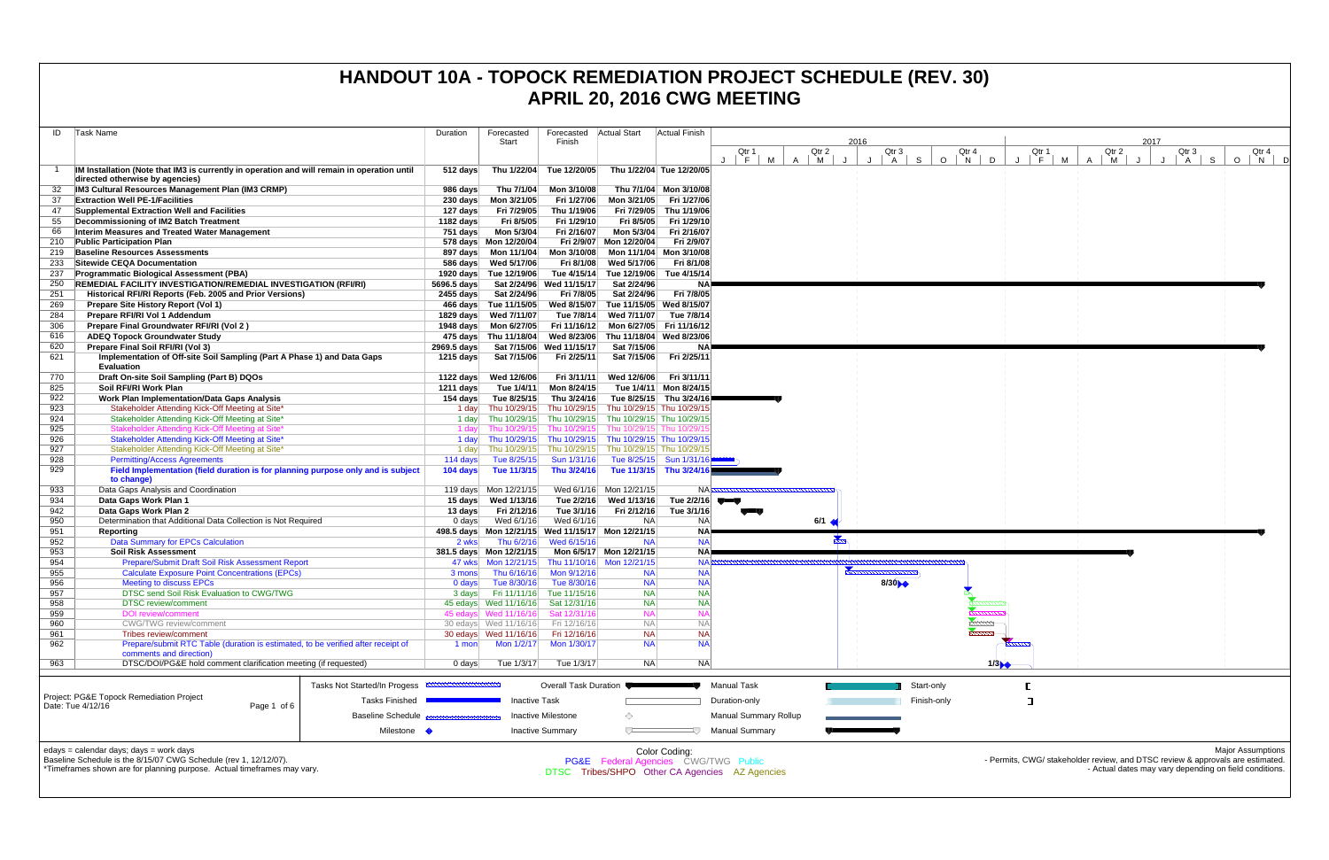| Task Name<br>ID                                                                                                                                  | Duration              | Forecasted                                      | Forecasted                                           | <b>Actual Start</b>                                                                   | <b>Actual Finish</b>               |                                                |                          |                       |                |                 |                |                 |                      |                                                                                                                                          |
|--------------------------------------------------------------------------------------------------------------------------------------------------|-----------------------|-------------------------------------------------|------------------------------------------------------|---------------------------------------------------------------------------------------|------------------------------------|------------------------------------------------|--------------------------|-----------------------|----------------|-----------------|----------------|-----------------|----------------------|------------------------------------------------------------------------------------------------------------------------------------------|
|                                                                                                                                                  |                       | Start                                           | Finish                                               |                                                                                       |                                    |                                                |                          | 2016                  |                |                 |                |                 | 2017                 |                                                                                                                                          |
|                                                                                                                                                  |                       |                                                 |                                                      |                                                                                       |                                    | Qtr 1<br>J F M                                 | Qtr 2<br>$A \mid M$<br>J | Qtr 3<br>$\cdot$<br>A | S .<br>$O$   N | Qtr 4<br>$\Box$ | Qtr 1<br>$F$ M | Qtr 2<br>M<br>A | Qtr 3<br> A <br>- 11 | Qtr 4<br>S  <br>$\circ$<br>N<br>- DI                                                                                                     |
| IM Installation (Note that IM3 is currently in operation and will remain in operation until                                                      | $512$ days            | Thu 1/22/04                                     | Tue 12/20/05                                         | Thu 1/22/04 Tue 12/20/05                                                              |                                    |                                                |                          |                       |                |                 |                |                 |                      |                                                                                                                                          |
| directed otherwise by agencies)                                                                                                                  |                       |                                                 |                                                      |                                                                                       |                                    |                                                |                          |                       |                |                 |                |                 |                      |                                                                                                                                          |
| IM3 Cultural Resources Management Plan (IM3 CRMP)                                                                                                | 986 days              | Thu 7/1/04                                      | Mon 3/10/08                                          |                                                                                       | Thu 7/1/04 Mon 3/10/08             |                                                |                          |                       |                |                 |                |                 |                      |                                                                                                                                          |
| <b>Extraction Well PE-1/Facilities</b>                                                                                                           |                       | 230 days    Mon 3/21/05                         | Fri 1/27/06                                          | Mon 3/21/05                                                                           | Fri 1/27/06                        |                                                |                          |                       |                |                 |                |                 |                      |                                                                                                                                          |
| Supplemental Extraction Well and Facilities<br>47<br>Decommissioning of IM2 Batch Treatment                                                      | 127 days<br>1182 days | Fri 7/29/05<br>Fri 8/5/05                       | Thu 1/19/06<br>Fri 1/29/10                           | Fri 7/29/05<br>Fri 8/5/05                                                             | Thu 1/19/06<br>Fri 1/29/10         |                                                |                          |                       |                |                 |                |                 |                      |                                                                                                                                          |
| Interim Measures and Treated Water Management<br>66                                                                                              | 751 days              | Mon 5/3/04                                      | Fri 2/16/07                                          | Mon 5/3/04                                                                            | Fri 2/16/07                        |                                                |                          |                       |                |                 |                |                 |                      |                                                                                                                                          |
| <b>Public Participation Plan</b><br>210                                                                                                          |                       | 578 days  Mon 12/20/04                          |                                                      | Fri 2/9/07 Mon 12/20/04                                                               | Fri 2/9/07                         |                                                |                          |                       |                |                 |                |                 |                      |                                                                                                                                          |
| <b>Baseline Resources Assessments</b><br>219                                                                                                     |                       | 897 days    Mon 11/1/04                         | Mon 3/10/08                                          | Mon 11/1/04 Mon 3/10/08                                                               |                                    |                                                |                          |                       |                |                 |                |                 |                      |                                                                                                                                          |
| Sitewide CEQA Documentation<br>233                                                                                                               |                       | 586 days Wed 5/17/06                            | Fri 8/1/08                                           | Wed 5/17/06                                                                           | Fri 8/1/08                         |                                                |                          |                       |                |                 |                |                 |                      |                                                                                                                                          |
| <b>Programmatic Biological Assessment (PBA)</b><br>237                                                                                           |                       | 1920 days Tue 12/19/06                          | Tue 4/15/14                                          | Tue 12/19/06                                                                          | Tue 4/15/14                        |                                                |                          |                       |                |                 |                |                 |                      |                                                                                                                                          |
| <b>REMEDIAL FACILITY INVESTIGATION/REMEDIAL INVESTIGATION (RFI/RI)</b><br>250<br>Historical RFI/RI Reports (Feb. 2005 and Prior Versions)<br>251 | 5696.5 days           |                                                 | Sat 2/24/96 Wed 11/15/17<br>Fri 7/8/05               | Sat 2/24/96<br>Sat 2/24/96                                                            | Fri 7/8/05                         |                                                |                          |                       |                |                 |                |                 |                      |                                                                                                                                          |
| 269<br>Prepare Site History Report (Vol 1)                                                                                                       | 2455 days             | Sat 2/24/96<br>466 days Tue 11/15/05            | Wed 8/15/07                                          | Tue 11/15/05                                                                          | Wed 8/15/07                        |                                                |                          |                       |                |                 |                |                 |                      |                                                                                                                                          |
| Prepare RFI/RI Vol 1 Addendum<br>284                                                                                                             |                       | 1829 days Wed 7/11/07                           | Tue 7/8/14                                           | Wed 7/11/07                                                                           | Tue 7/8/14                         |                                                |                          |                       |                |                 |                |                 |                      |                                                                                                                                          |
| Prepare Final Groundwater RFI/RI (Vol 2)<br>306                                                                                                  |                       | 1948 days    Mon 6/27/05                        |                                                      | Fri 11/16/12 Mon 6/27/05 Fri 11/16/12                                                 |                                    |                                                |                          |                       |                |                 |                |                 |                      |                                                                                                                                          |
| <b>ADEQ Topock Groundwater Study</b><br>616                                                                                                      |                       | 475 days Thu 11/18/04                           | Wed 8/23/06                                          | Thu 11/18/04 Wed 8/23/06                                                              |                                    |                                                |                          |                       |                |                 |                |                 |                      |                                                                                                                                          |
| 620<br>Prepare Final Soil RFI/RI (Vol 3)                                                                                                         | 2969.5 days           |                                                 | Sat 7/15/06 Wed 11/15/17                             | Sat 7/15/06                                                                           | NΑ                                 |                                                |                          |                       |                |                 |                |                 |                      |                                                                                                                                          |
| Implementation of Off-site Soil Sampling (Part A Phase 1) and Data Gaps<br>621<br>Evaluation                                                     | 1215 days             | Sat 7/15/06                                     | Fri 2/25/11                                          | Sat 7/15/06                                                                           | Fri 2/25/11                        |                                                |                          |                       |                |                 |                |                 |                      |                                                                                                                                          |
| Draft On-site Soil Sampling (Part B) DQOs<br>770                                                                                                 |                       |                                                 | Fri 3/11/11                                          | Wed 12/6/06                                                                           | Fri 3/11/11                        |                                                |                          |                       |                |                 |                |                 |                      |                                                                                                                                          |
| Soil RFI/RI Work Plan<br>825                                                                                                                     | 1211 days             | Tue 1/4/11                                      | Mon 8/24/15                                          |                                                                                       | Tue 1/4/11 Mon 8/24/15             |                                                |                          |                       |                |                 |                |                 |                      |                                                                                                                                          |
| 922<br><b>Work Plan Implementation/Data Gaps Analysis</b>                                                                                        | 154 days              | Tue 8/25/15                                     | Thu 3/24/16                                          | Tue 8/25/15 Thu 3/24/16                                                               |                                    |                                                |                          |                       |                |                 |                |                 |                      |                                                                                                                                          |
| Stakeholder Attending Kick-Off Meeting at Site*<br>923                                                                                           | 1 day                 | Thu 10/29/15                                    |                                                      | Thu 10/29/15 Thu 10/29/15 Thu 10/29/15                                                |                                    |                                                |                          |                       |                |                 |                |                 |                      |                                                                                                                                          |
| 924<br>Stakeholder Attending Kick-Off Meeting at Site*                                                                                           | 1 day                 |                                                 |                                                      | Thu 10/29/15 Thu 10/29/15 Thu 10/29/15 Thu 10/29/15                                   |                                    |                                                |                          |                       |                |                 |                |                 |                      |                                                                                                                                          |
| Stakeholder Attending Kick-Off Meeting at Site*<br>925<br>926<br>Stakeholder Attending Kick-Off Meeting at Site*                                 | 1 day                 | Thu 10/29/15                                    | Thu 10/29/15                                         | Thu 10/29/15 Thu 10/29/1<br>1 day Thu 10/29/15 Thu 10/29/15 Thu 10/29/15 Thu 10/29/15 |                                    |                                                |                          |                       |                |                 |                |                 |                      |                                                                                                                                          |
| Stakeholder Attending Kick-Off Meeting at Site*<br>927                                                                                           |                       | 1 day Thu 10/29/15                              |                                                      | Thu 10/29/15 Thu 10/29/15 Thu 10/29/15                                                |                                    |                                                |                          |                       |                |                 |                |                 |                      |                                                                                                                                          |
| 928<br><b>Permitting/Access Agreements</b>                                                                                                       | 114 days              | Tue 8/25/15                                     | Sun 1/31/16                                          | Tue 8/25/15 Sun 1/31/16                                                               |                                    |                                                |                          |                       |                |                 |                |                 |                      |                                                                                                                                          |
| Field Implementation (field duration is for planning purpose only and is subject<br>929                                                          | 104 days              | Tue 11/3/15                                     | Thu 3/24/16                                          | Tue 11/3/15 Thu 3/24/16                                                               |                                    |                                                |                          |                       |                |                 |                |                 |                      |                                                                                                                                          |
| to change)                                                                                                                                       |                       |                                                 |                                                      |                                                                                       |                                    |                                                |                          |                       |                |                 |                |                 |                      |                                                                                                                                          |
| Data Gaps Analysis and Coordination<br>933<br>934<br>Data Gaps Work Plan 1                                                                       |                       | 119 days Mon 12/21/15<br>15 days Wed 1/13/16    | Tue 2/2/16                                           | Wed 6/1/16 Mon 12/21/15<br>Wed 1/13/16                                                | <b>NA</b><br>Tue 2/2/16 $\sqrt{2}$ |                                                |                          |                       |                |                 |                |                 |                      |                                                                                                                                          |
| 942<br>Data Gaps Work Plan 2                                                                                                                     | 13 days               | Fri 2/12/16                                     | Tue 3/1/16                                           | Fri 2/12/16                                                                           | Tue 3/1/16                         |                                                |                          |                       |                |                 |                |                 |                      |                                                                                                                                          |
| Determination that Additional Data Collection is Not Required<br>950                                                                             | $0 \text{ days}$      | Wed 6/1/16                                      | Wed 6/1/16                                           | <b>NA</b>                                                                             | <b>NA</b>                          |                                                | $6/1$ $\leftarrow$       |                       |                |                 |                |                 |                      |                                                                                                                                          |
| 951<br>Reporting                                                                                                                                 |                       |                                                 | 498.5 days  Mon 12/21/15  Wed 11/15/17  Mon 12/21/15 |                                                                                       | <b>NA</b>                          |                                                |                          |                       |                |                 |                |                 |                      |                                                                                                                                          |
| <b>Data Summary for EPCs Calculation</b><br>952                                                                                                  | 2 wks                 | Thu 6/2/16                                      | Wed 6/15/16                                          | <b>NA</b>                                                                             | <b>NA</b>                          |                                                | $\frac{1}{2}$            |                       |                |                 |                |                 |                      |                                                                                                                                          |
| 953<br><b>Soil Risk Assessment</b><br>Prepare/Submit Draft Soil Risk Assessment Report                                                           |                       | 381.5 days Mon 12/21/15                         |                                                      | Mon 6/5/17 Mon 12/21/15                                                               | <b>NA</b><br><b>NA</b>             |                                                |                          |                       |                |                 |                |                 |                      |                                                                                                                                          |
| 954<br>955<br><b>Calculate Exposure Point Concentrations (EPCs)</b>                                                                              | 3 mons                | 47 wks   Mon 12/21/15<br>Thu 6/16/16            | Mon 9/12/16                                          | Thu 11/10/16 Mon 12/21/15<br><b>NA</b>                                                | <b>NA</b>                          |                                                | ▼                        |                       |                |                 |                |                 |                      |                                                                                                                                          |
| 956<br><b>Meeting to discuss EPCs</b>                                                                                                            | $0$ days              | Tue 8/30/16                                     | Tue 8/30/16                                          | <b>NA</b>                                                                             | <b>NA</b>                          |                                                |                          | $8/30 +$              |                |                 |                |                 |                      |                                                                                                                                          |
| DTSC send Soil Risk Evaluation to CWG/TWG<br>957                                                                                                 | 3 days                |                                                 | Fri 11/11/16 Tue 11/15/16                            | <b>NA</b>                                                                             | <b>NA</b>                          |                                                |                          |                       |                |                 |                |                 |                      |                                                                                                                                          |
| 958<br><b>DTSC</b> review/comment                                                                                                                |                       |                                                 |                                                      | <b>NA</b>                                                                             | <b>NA</b>                          |                                                |                          |                       |                |                 |                |                 |                      |                                                                                                                                          |
| 959<br><b>DOI</b> review/comment                                                                                                                 |                       | 45 edays Wed 11/16/16                           | Sat 12/31/16                                         | <b>NA</b>                                                                             |                                    |                                                |                          |                       |                |                 |                |                 |                      |                                                                                                                                          |
| 960<br><b>CWG/TWG</b> review/comment<br>961<br>Tribes review/comment                                                                             |                       | 30 edays  Wed 11/16/16<br>30 edays Wed 11/16/16 | Fri 12/16/16<br>Fri 12/16/16                         | <b>NA</b><br><b>NA</b>                                                                | <b>NA</b><br><b>NA</b>             |                                                |                          |                       |                | <b>MANAGER</b>  |                |                 |                      |                                                                                                                                          |
| 962<br>Prepare/submit RTC Table (duration is estimated, to be verified after receipt of                                                          | 1 mon                 | Mon 1/2/17                                      | Mon 1/30/17                                          | <b>NA</b>                                                                             | <b>NA</b>                          |                                                |                          |                       |                |                 |                |                 |                      |                                                                                                                                          |
| comments and direction)                                                                                                                          |                       |                                                 |                                                      |                                                                                       |                                    |                                                |                          |                       |                |                 |                |                 |                      |                                                                                                                                          |
| DTSC/DOI/PG&E hold comment clarification meeting (if requested)<br>963                                                                           | 0 days                | Tue 1/3/17                                      | Tue 1/3/17                                           | <b>NA</b>                                                                             | <b>NA</b>                          |                                                |                          |                       |                | 1/3 <b>.4</b>   |                |                 |                      |                                                                                                                                          |
|                                                                                                                                                  |                       |                                                 |                                                      |                                                                                       |                                    |                                                |                          |                       |                |                 |                |                 |                      |                                                                                                                                          |
| Tasks Not Started/In Progess                                                                                                                     |                       |                                                 | Overall Task Duration                                |                                                                                       |                                    | Manual Task                                    |                          |                       | Start-only     |                 |                |                 |                      |                                                                                                                                          |
| Project: PG&E Topock Remediation Project<br><b>Tasks Finished</b><br>Date: Tue 4/12/16<br>Page 1 of 6                                            |                       | <b>Inactive Task</b>                            |                                                      |                                                                                       |                                    | Duration-only                                  |                          |                       | Finish-only    |                 | П              |                 |                      |                                                                                                                                          |
| <b>Baseline Schedule</b>                                                                                                                         |                       |                                                 | <b>Inactive Milestone</b>                            | ◇                                                                                     |                                    | <b>Manual Summary Rollup</b>                   |                          |                       |                |                 |                |                 |                      |                                                                                                                                          |
| Milestone $\blacklozenge$                                                                                                                        |                       |                                                 | <b>Inactive Summary</b>                              | $\overline{a}$                                                                        |                                    | <b>Manual Summary</b>                          |                          |                       |                |                 |                |                 |                      |                                                                                                                                          |
|                                                                                                                                                  |                       |                                                 |                                                      |                                                                                       |                                    |                                                |                          |                       |                |                 |                |                 |                      |                                                                                                                                          |
| edays = calendar days; days = work days                                                                                                          |                       |                                                 |                                                      |                                                                                       | Color Coding:                      |                                                |                          |                       |                |                 |                |                 |                      | <b>Major Assumptions</b>                                                                                                                 |
| Baseline Schedule is the 8/15/07 CWG Schedule (rev 1, 12/12/07).<br>*Timeframes shown are for planning purpose. Actual timeframes may vary.      |                       |                                                 |                                                      | PG&E Federal Agencies CWG/TWG Public                                                  |                                    |                                                |                          |                       |                |                 |                |                 |                      | - Permits, CWG/ stakeholder review, and DTSC review & approvals are estimated.<br>- Actual dates may vary depending on field conditions. |
|                                                                                                                                                  |                       |                                                 |                                                      |                                                                                       |                                    | DTSC Tribes/SHPO Other CA Agencies AZ Agencies |                          |                       |                |                 |                |                 |                      |                                                                                                                                          |
|                                                                                                                                                  |                       |                                                 |                                                      |                                                                                       |                                    |                                                |                          |                       |                |                 |                |                 |                      |                                                                                                                                          |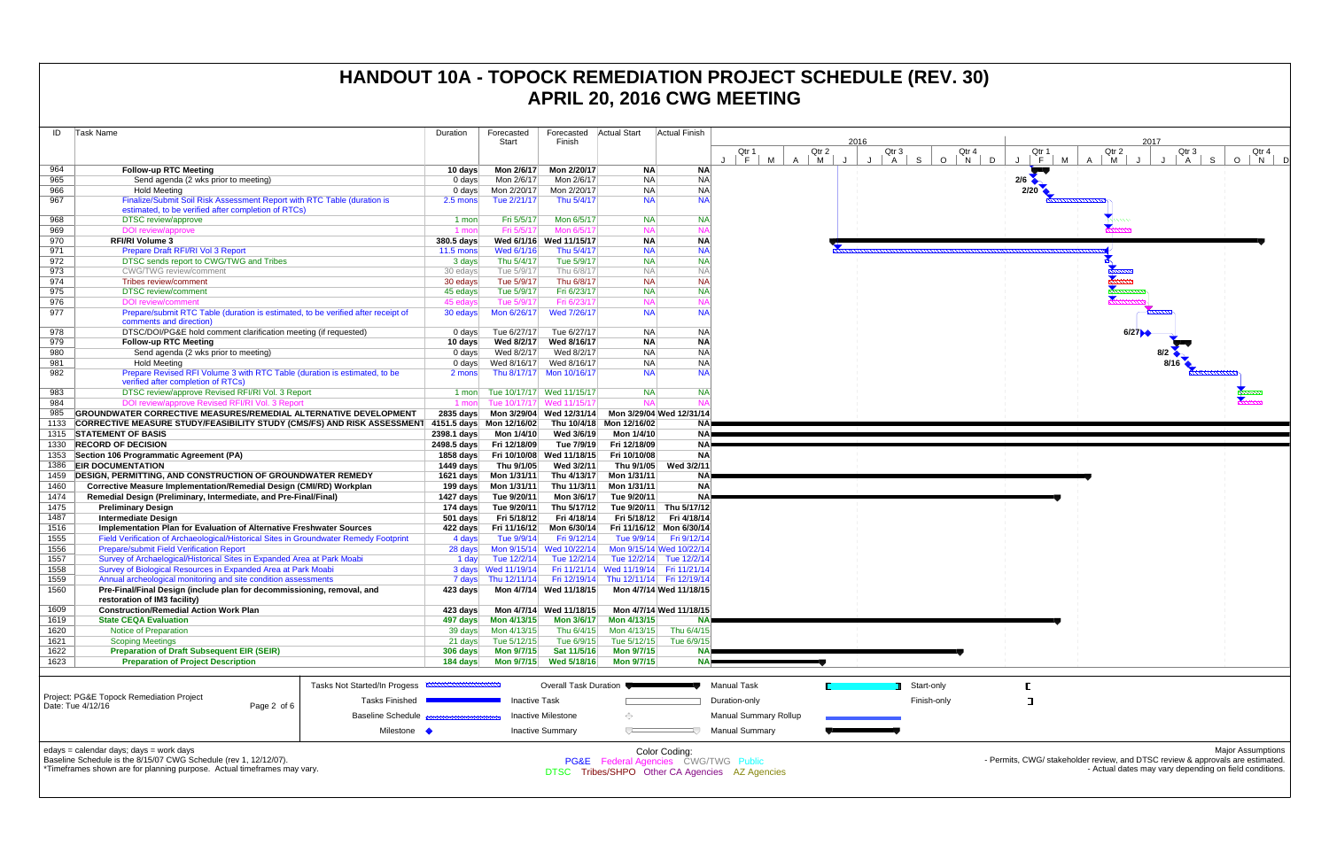| ID   | Task Name                                                                                                       |                          | Duration            | Forecasted               | Forecasted                | <b>Actual Start</b>       | Actual Finish             |                              |                                 |      |                 |                  |
|------|-----------------------------------------------------------------------------------------------------------------|--------------------------|---------------------|--------------------------|---------------------------|---------------------------|---------------------------|------------------------------|---------------------------------|------|-----------------|------------------|
|      |                                                                                                                 |                          |                     | Start                    | Finish                    |                           |                           |                              |                                 | 2016 |                 |                  |
|      |                                                                                                                 |                          |                     |                          |                           |                           |                           | Qtr 1<br>M<br>F.             | Qtr 2<br>$\mathsf{A}$<br>M<br>J | J    | Qtr 3<br>S<br>A | Qtr 4<br>$O$   N |
| 964  | <b>Follow-up RTC Meeting</b>                                                                                    |                          | 10 days             | Mon 2/6/17               | Mon 2/20/17               | <b>NA</b>                 | <b>NA</b>                 |                              |                                 |      |                 |                  |
| 965  | Send agenda (2 wks prior to meeting)                                                                            |                          | $0 \text{ days}$    | Mon 2/6/17               | Mon 2/6/17                | <b>NA</b>                 | <b>NA</b>                 |                              |                                 |      |                 |                  |
| 966  | <b>Hold Meeting</b>                                                                                             |                          | $0 \text{ days}$    | Mon 2/20/17              | Mon 2/20/17               | <b>NA</b>                 | <b>NA</b>                 |                              |                                 |      |                 |                  |
| 967  | Finalize/Submit Soil Risk Assessment Report with RTC Table (duration is                                         |                          | 2.5 mons            | Tue 2/21/17              | Thu 5/4/17                | <b>NA</b>                 | <b>NA</b>                 |                              |                                 |      |                 |                  |
|      | estimated, to be verified after completion of RTCs)                                                             |                          |                     |                          |                           |                           |                           |                              |                                 |      |                 |                  |
| 968  | DTSC review/approve                                                                                             |                          | 1 mon               | Fri 5/5/17               | Mon 6/5/17                | <b>NA</b>                 | <b>NA</b>                 |                              |                                 |      |                 |                  |
| 969  | DOI review/approve                                                                                              |                          | 1 mon               | Fri 5/5/17               | Mon 6/5/17                | <b>NA</b>                 | <b>NA</b>                 |                              |                                 |      |                 |                  |
| 970  | <b>RFI/RI Volume 3</b>                                                                                          |                          | 380.5 days          |                          | Wed 6/1/16 Wed 11/15/17   | <b>NA</b>                 | <b>NA</b>                 |                              |                                 |      |                 |                  |
| 971  | Prepare Draft RFI/RI Vol 3 Report                                                                               |                          | $11.5 \text{ mon}$  | Wed 6/1/16               | Thu 5/4/17                | <b>NA</b>                 | <b>NA</b>                 |                              |                                 |      |                 |                  |
| 972  | DTSC sends report to CWG/TWG and Tribes                                                                         |                          | 3 days              | Thu 5/4/17               | Tue 5/9/17                | <b>NA</b>                 | <b>NA</b>                 |                              |                                 |      |                 |                  |
| 973  | <b>CWG/TWG</b> review/comment                                                                                   |                          | 30 edays            | Tue 5/9/17               | Thu 6/8/17                | <b>NA</b>                 | <b>NA</b>                 |                              |                                 |      |                 |                  |
| 974  | Tribes review/comment                                                                                           |                          | 30 edays            | Tue 5/9/17               | Thu 6/8/17                | <b>NA</b>                 | <b>NA</b>                 |                              |                                 |      |                 |                  |
| 975  | <b>DTSC</b> review/comment                                                                                      |                          | 45 edays            | Tue 5/9/17               | Fri 6/23/17               | <b>NA</b>                 | <b>NA</b>                 |                              |                                 |      |                 |                  |
| 976  | <b>DOI</b> review/comment                                                                                       |                          | 45 edays            | Tue 5/9/17               | Fri 6/23/17               | <b>NA</b>                 | <b>NA</b>                 |                              |                                 |      |                 |                  |
| 977  | Prepare/submit RTC Table (duration is estimated, to be verified after receipt of<br>comments and direction)     |                          | 30 edays            | Mon 6/26/17              | Wed 7/26/17               | <b>NA</b>                 | <b>NA</b>                 |                              |                                 |      |                 |                  |
| 978  | DTSC/DOI/PG&E hold comment clarification meeting (if requested)                                                 |                          | 0 days              | Tue 6/27/17              | Tue 6/27/17               | NA.                       | <b>NA</b>                 |                              |                                 |      |                 |                  |
| 979  | <b>Follow-up RTC Meeting</b>                                                                                    |                          | 10 days             | Wed 8/2/17               | Wed 8/16/17               | <b>NA</b>                 | <b>NA</b>                 |                              |                                 |      |                 |                  |
| 980  | Send agenda (2 wks prior to meeting)                                                                            |                          | $0 \text{ days}$    | Wed 8/2/17               | Wed 8/2/17                | <b>NA</b>                 | <b>NA</b>                 |                              |                                 |      |                 |                  |
| 981  | <b>Hold Meeting</b>                                                                                             |                          | 0 days              | Wed 8/16/17              | Wed 8/16/17               | <b>NA</b>                 | <b>NA</b>                 |                              |                                 |      |                 |                  |
| 982  | Prepare Revised RFI Volume 3 with RTC Table (duration is estimated, to be<br>verified after completion of RTCs) |                          | 2 mons              |                          | Thu 8/17/17 Mon 10/16/17  | <b>NA</b>                 | <b>NA</b>                 |                              |                                 |      |                 |                  |
| 983  | DTSC review/approve Revised RFI/RI Vol. 3 Report                                                                |                          | 1 mon               |                          | Tue 10/17/17 Wed 11/15/17 | <b>NA</b>                 | <b>NA</b>                 |                              |                                 |      |                 |                  |
| 984  | DOI review/approve Revised RFI/RI Vol. 3 Report                                                                 |                          | $1$ mon             |                          | Tue 10/17/17 Wed 11/15/17 | <b>NA</b>                 | <b>NA</b>                 |                              |                                 |      |                 |                  |
| 985  | GROUNDWATER CORRECTIVE MEASURES/REMEDIAL ALTERNATIVE DEVELOPMENT                                                |                          | $2835$ days         |                          | Mon 3/29/04 Wed 12/31/14  |                           | Mon 3/29/04 Wed 12/31/14  |                              |                                 |      |                 |                  |
| 1133 | <b>CORRECTIVE MEASURE STUDY/FEASIBILITY STUDY (CMS/FS) AND RISK ASSESSMENT</b>                                  |                          |                     | 4151.5 days Mon 12/16/02 | Thu 10/4/18               | Mon 12/16/02              | NA!                       |                              |                                 |      |                 |                  |
| 1315 | <b>STATEMENT OF BASIS</b>                                                                                       |                          | 2398.1 days         | Mon 1/4/10               | Wed 3/6/19                | Mon 1/4/10                | <b>NA</b>                 |                              |                                 |      |                 |                  |
| 1330 | <b>RECORD OF DECISION</b>                                                                                       |                          | 2498.5 days         | Fri 12/18/09             | Tue 7/9/19                | Fri 12/18/09              | <b>NA</b>                 |                              |                                 |      |                 |                  |
| 1353 | Section 106 Programmatic Agreement (PA)                                                                         |                          | 1858 days           | Fri 10/10/08             | Wed 11/18/15              | Fri 10/10/08              | <b>NA</b>                 |                              |                                 |      |                 |                  |
| 1386 | <b>EIR DOCUMENTATION</b>                                                                                        |                          | 1449 days           | Thu 9/1/05               | Wed 3/2/11                | Thu 9/1/05                | Wed 3/2/11                |                              |                                 |      |                 |                  |
| 1459 | <b>DESIGN, PERMITTING, AND CONSTRUCTION OF GROUNDWATER REMEDY</b>                                               |                          | 1621 days           | Mon 1/31/11              | Thu 4/13/17               | Mon 1/31/11               | NA)                       |                              |                                 |      |                 |                  |
| 1460 | Corrective Measure Implementation/Remedial Design (CMI/RD) Workplan                                             |                          | 199 days            | Mon 1/31/11              | Thu 11/3/11               | Mon 1/31/11               | <b>NA</b>                 |                              |                                 |      |                 |                  |
| 1474 | Remedial Design (Preliminary, Intermediate, and Pre-Final/Final)                                                |                          | 1427 days           | Tue 9/20/11              | Mon 3/6/17                | Tue 9/20/11               | <b>NA</b>                 |                              |                                 |      |                 |                  |
| 1475 | <b>Preliminary Design</b>                                                                                       |                          | 174 days            | Tue 9/20/11              | Thu 5/17/12               |                           | Tue 9/20/11 Thu 5/17/12   |                              |                                 |      |                 |                  |
| 1487 | <b>Intermediate Design</b>                                                                                      |                          | 501 days            | Fri 5/18/12              | Fri 4/18/14               |                           | Fri 5/18/12 Fri 4/18/14   |                              |                                 |      |                 |                  |
| 1516 | Implementation Plan for Evaluation of Alternative Freshwater Sources                                            |                          | 422 days            | Fri 11/16/12             | Mon 6/30/14               |                           | Fri 11/16/12 Mon 6/30/14  |                              |                                 |      |                 |                  |
| 1555 | Field Verification of Archaeological/Historical Sites in Groundwater Remedy Footprint                           |                          | 4 days              | Tue 9/9/14               | Fri 9/12/14               | Tue 9/9/14                | Fri 9/12/14               |                              |                                 |      |                 |                  |
| 1556 | <b>Prepare/submit Field Verification Report</b>                                                                 |                          | 28 days             |                          | Mon 9/15/14 Wed 10/22/14  |                           | Mon 9/15/14 Wed 10/22/14  |                              |                                 |      |                 |                  |
| 1557 | Survey of Archaelogical/Historical Sites in Expanded Area at Park Moabi                                         |                          | 1 day               | Tue 12/2/14              | Tue 12/2/14               |                           | Tue 12/2/14 Tue 12/2/14   |                              |                                 |      |                 |                  |
| 1558 | Survey of Biological Resources in Expanded Area at Park Moabi                                                   |                          |                     | 3 days Wed 11/19/14      | Fri 11/21/14              | Wed 11/19/14 Fri 11/21/14 |                           |                              |                                 |      |                 |                  |
| 1559 | Annual archeological monitoring and site condition assessments                                                  |                          | 7 days              | Thu 12/11/14             | Fri 12/19/14              |                           | Thu 12/11/14 Fri 12/19/14 |                              |                                 |      |                 |                  |
| 1560 | Pre-Final/Final Design (include plan for decommissioning, removal, and<br>restoration of IM3 facility)          |                          | 423 days            |                          | Mon 4/7/14 Wed 11/18/15   |                           | Mon 4/7/14 Wed 11/18/15   |                              |                                 |      |                 |                  |
| 1609 | <b>Construction/Remedial Action Work Plan</b>                                                                   |                          | 423 days            |                          | Mon 4/7/14 Wed 11/18/15   |                           | Mon 4/7/14 Wed 11/18/15   |                              |                                 |      |                 |                  |
| 1619 | <b>State CEQA Evaluation</b>                                                                                    |                          | 497 days            | Mon 4/13/15              | <b>Mon 3/6/17</b>         | Mon 4/13/15               | <b>NA</b>                 |                              |                                 |      |                 |                  |
| 1620 | Notice of Preparation                                                                                           |                          | 39 days             | Mon 4/13/15              | Thu 6/4/15                | Mon 4/13/15               | Thu 6/4/15                |                              |                                 |      |                 |                  |
| 1621 | <b>Scoping Meetings</b>                                                                                         |                          | 21 days             | Tue 5/12/15              | Tue 6/9/15                | Tue 5/12/15               | Tue 6/9/15                |                              |                                 |      |                 |                  |
| 1622 | <b>Preparation of Draft Subsequent EIR (SEIR)</b>                                                               |                          | 306 days            | Mon 9/7/15               | Sat 11/5/16               | Mon 9/7/15                | <b>NA</b>                 |                              |                                 |      |                 |                  |
| 1623 | <b>Preparation of Project Description</b>                                                                       |                          | 184 days            | <b>Mon 9/7/15</b>        | Wed 5/18/16               | <b>Mon 9/7/15</b>         | <b>NA</b>                 |                              |                                 |      |                 |                  |
|      |                                                                                                                 |                          |                     |                          |                           |                           |                           |                              |                                 |      |                 |                  |
|      | Tasks Not Started/In Progess                                                                                    |                          | <b>MANUHAMMANUM</b> |                          | Overall Task Duration     |                           |                           | <b>Manual Task</b>           |                                 |      |                 | Start-only       |
|      | Project: PG&E Topock Remediation Project<br>Date: Tue 4/12/16                                                   | <b>Tasks Finished</b>    |                     | <b>Inactive Task</b>     |                           |                           |                           | Duration-only                |                                 |      |                 | Finish-only      |
|      | Page 2 of 6                                                                                                     | <b>Baseline Schedule</b> |                     |                          | <b>Inactive Milestone</b> | ⊙                         |                           | <b>Manual Summary Rollup</b> |                                 |      |                 |                  |
|      |                                                                                                                 |                          |                     |                          |                           |                           |                           |                              |                                 |      |                 |                  |
|      |                                                                                                                 | Milestone •              |                     |                          | <b>Inactive Summary</b>   | U                         |                           | <b>Manual Summary</b>        |                                 |      |                 |                  |
|      | edays = calendar days; days = work days                                                                         |                          |                     |                          |                           |                           | Color Coding:             |                              |                                 |      |                 |                  |



Baseline Schedule is the 8/15/07 CWG Schedule (rev 1, 12/12/07).

\*Timeframes shown are for planning purpose. Actual timeframes may vary.

Color Coding: PG&E Federal Agencies CWG/TWG Public DTSC Tribes/SHPO Other CA Agencies AZ Agencies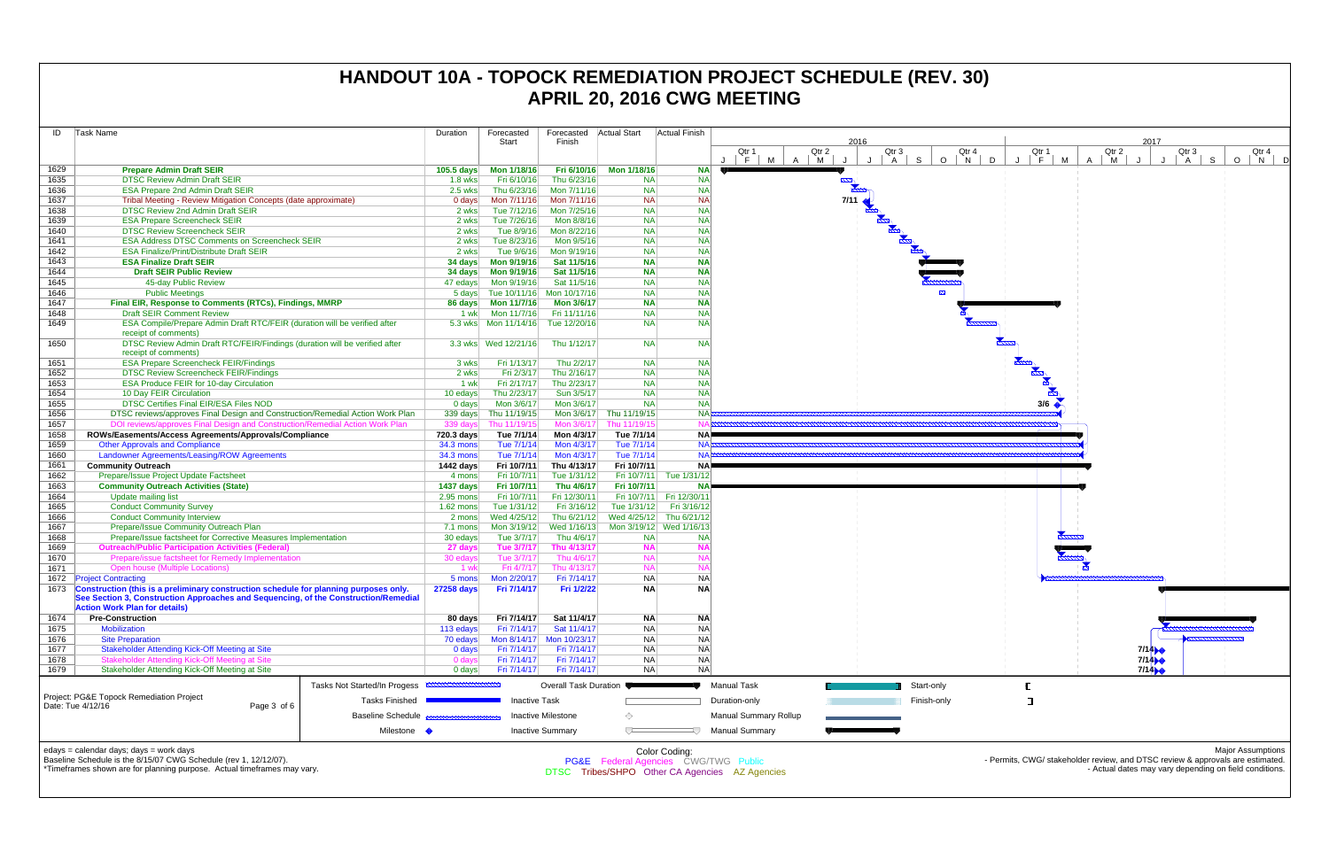| ID           | Task Name                                                                                                                                                                    |                              | Duration                  | Forecasted                 | Forecasted                  | <b>Actual Start</b>                  | Actual Finish            |                                                |                              |                       |                          |
|--------------|------------------------------------------------------------------------------------------------------------------------------------------------------------------------------|------------------------------|---------------------------|----------------------------|-----------------------------|--------------------------------------|--------------------------|------------------------------------------------|------------------------------|-----------------------|--------------------------|
|              |                                                                                                                                                                              |                              |                           | Start                      | Finish                      |                                      |                          |                                                |                              | 2016                  |                          |
|              |                                                                                                                                                                              |                              |                           |                            |                             |                                      |                          | Qtr 1<br>F<br>M<br>$\cdot$                     | Qtr 2<br>$\overline{A}$<br>M | Qtr 3<br>$\mathsf{A}$ | Qtr<br>S<br>$\circ$<br>N |
| 1629         | <b>Prepare Admin Draft SEIR</b>                                                                                                                                              |                              | 105.5 days                | Mon 1/18/16                | Fri 6/10/16                 | Mon 1/18/16                          | <b>NA</b>                |                                                |                              |                       |                          |
| 1635         | <b>DTSC Review Admin Draft SEIR</b>                                                                                                                                          |                              | $1.8$ wks                 | Fri 6/10/16                | Thu 6/23/16                 | <b>NA</b>                            | <b>NA</b>                |                                                | <b>POOL</b>                  |                       |                          |
| 1636         | <b>ESA Prepare 2nd Admin Draft SEIR</b>                                                                                                                                      |                              | $2.5$ wks                 | Thu 6/23/16                | Mon 7/11/16                 | <b>NA</b>                            | <b>NA</b>                |                                                |                              |                       |                          |
| 1637         | Tribal Meeting - Review Mitigation Concepts (date approximate)                                                                                                               |                              | $0$ days                  | Mon 7/11/16                | Mon 7/11/16                 | <b>NA</b>                            | <b>NA</b>                |                                                | 7/11                         |                       |                          |
| 1638         | <b>DTSC Review 2nd Admin Draft SEIR</b>                                                                                                                                      |                              | 2 wks                     | Tue 7/12/16                | Mon 7/25/16                 | <b>NA</b>                            | <b>NA</b>                |                                                |                              |                       |                          |
| 1639         | <b>ESA Prepare Screencheck SEIR</b>                                                                                                                                          |                              | 2 wks                     | Tue 7/26/16                | Mon 8/8/16                  | <b>NA</b>                            | <b>NA</b>                |                                                |                              | <b>Charles Report</b> |                          |
| 1640         | <b>DTSC Review Screencheck SEIR</b>                                                                                                                                          |                              | 2 wks                     | Tue 8/9/16                 | Mon 8/22/16                 | <b>NA</b>                            | <b>NA</b>                |                                                |                              |                       |                          |
| 1641         | <b>ESA Address DTSC Comments on Screencheck SEIR</b>                                                                                                                         |                              | 2 wks                     | Tue 8/23/16                | Mon 9/5/16                  | <b>NA</b>                            | <b>NA</b>                |                                                |                              |                       |                          |
| 1642         | <b>ESA Finalize/Print/Distribute Draft SEIR</b>                                                                                                                              |                              | 2 wks                     | Tue 9/6/16                 | Mon 9/19/16                 | <b>NA</b>                            | <b>NA</b>                |                                                |                              |                       |                          |
| 1643         | <b>ESA Finalize Draft SEIR</b>                                                                                                                                               |                              | 34 days                   | Mon 9/19/16                | Sat 11/5/16                 | <b>NA</b>                            | <b>NA</b>                |                                                |                              |                       |                          |
| 1644         | <b>Draft SEIR Public Review</b>                                                                                                                                              |                              | 34 days                   | Mon 9/19/16                | Sat 11/5/16                 | <b>NA</b>                            | <b>NA</b>                |                                                |                              |                       |                          |
| 1645         | 45-day Public Review                                                                                                                                                         |                              | 47 edays                  | Mon 9/19/16                | Sat 11/5/16                 | <b>NA</b>                            | <b>NA</b>                |                                                |                              |                       |                          |
| 1646         | <b>Public Meetings</b>                                                                                                                                                       |                              | 5 days                    |                            | Tue 10/11/16 Mon 10/17/16   | <b>NA</b>                            | <b>NA</b>                |                                                |                              |                       |                          |
| 1647         | Final EIR, Response to Comments (RTCs), Findings, MMRP                                                                                                                       |                              | 86 days                   | <b>Mon 11/7/16</b>         | <b>Mon 3/6/17</b>           | <b>NA</b>                            | <b>NA</b>                |                                                |                              |                       |                          |
| 1648         | <b>Draft SEIR Comment Review</b>                                                                                                                                             |                              | 1 wk                      | Mon 11/7/16                | Fri 11/11/16                | <b>NA</b>                            | <b>NA</b>                |                                                |                              |                       | <b>BALL</b>              |
| 1649         | ESA Compile/Prepare Admin Draft RTC/FEIR (duration will be verified after                                                                                                    |                              |                           | 5.3 wks   Mon 11/14/16     | Tue 12/20/16                | <b>NA</b>                            | <b>NA</b>                |                                                |                              |                       |                          |
|              | receipt of comments)                                                                                                                                                         |                              |                           |                            |                             |                                      |                          |                                                |                              |                       |                          |
| 1650         | DTSC Review Admin Draft RTC/FEIR/Findings (duration will be verified after                                                                                                   |                              |                           |                            | Thu 1/12/17                 | <b>NA</b>                            | <b>NA</b>                |                                                |                              |                       |                          |
|              | receipt of comments)                                                                                                                                                         |                              |                           |                            |                             |                                      |                          |                                                |                              |                       |                          |
| 1651         | <b>ESA Prepare Screencheck FEIR/Findings</b>                                                                                                                                 |                              | 3 wks                     | Fri 1/13/17                | Thu 2/2/17                  | <b>NA</b>                            | <b>NA</b>                |                                                |                              |                       |                          |
| 1652         | <b>DTSC Review Screencheck FEIR/Findings</b>                                                                                                                                 |                              | 2 wks                     | Fri 2/3/17                 | Thu 2/16/17                 | <b>NA</b>                            | <b>NA</b>                |                                                |                              |                       |                          |
| 1653         | <b>ESA Produce FEIR for 10-day Circulation</b>                                                                                                                               |                              | 1 wk                      | Fri 2/17/17                | Thu 2/23/17                 | <b>NA</b>                            | <b>NA</b>                |                                                |                              |                       |                          |
| 1654         | 10 Day FEIR Circulation                                                                                                                                                      |                              | 10 edays                  | Thu 2/23/17                | Sun 3/5/17                  | <b>NA</b>                            | <b>NA</b>                |                                                |                              |                       |                          |
| 1655         | DTSC Certifies Final EIR/ESA Files NOD                                                                                                                                       |                              | $0$ days                  | Mon 3/6/17                 | Mon 3/6/17                  | <b>NA</b>                            | <b>NA</b>                |                                                |                              |                       |                          |
| 1656         | DTSC reviews/approves Final Design and Construction/Remedial Action Work Plan                                                                                                |                              | 339 days                  | Thu 11/19/15               | Mon 3/6/17                  | Thu 11/19/15                         | <b>NA</b>                |                                                |                              |                       |                          |
| 1657         | DOI reviews/approves Final Design and Construction/Remedial Action Work Plan                                                                                                 |                              | 339 days                  | Thu 11/19/15               | Mon 3/6/17                  | Thu 11/19/15                         | <b>NA</b>                |                                                |                              |                       |                          |
| 1658         | ROWs/Easements/Access Agreements/Approvals/Compliance                                                                                                                        |                              | 720.3 days                | Tue 7/1/14                 | Mon 4/3/17                  | Tue 7/1/14                           | NA!                      |                                                |                              |                       |                          |
| 1659         | <b>Other Approvals and Compliance</b>                                                                                                                                        |                              | 34.3 mons                 | Tue 7/1/14                 | Mon 4/3/17                  | Tue 7/1/14                           | <b>NA</b>                |                                                |                              |                       |                          |
| 1660         | Landowner Agreements/Leasing/ROW Agreements                                                                                                                                  |                              | <b>34.3 mons</b>          | Tue 7/1/14                 | Mon 4/3/17                  | Tue 7/1/14                           | <b>NA</b>                |                                                |                              |                       |                          |
| 1661         | <b>Community Outreach</b>                                                                                                                                                    |                              | 1442 days                 | Fri 10/7/11                | Thu 4/13/17                 | Fri 10/7/11                          | <b>NA</b>                |                                                |                              |                       |                          |
| 1662         | Prepare/Issue Project Update Factsheet                                                                                                                                       |                              | 4 mons                    | Fri 10/7/11                | Tue 1/31/12                 | Fri 10/7/11                          | Tue 1/31/12              |                                                |                              |                       |                          |
| 1663         | <b>Community Outreach Activities (State)</b>                                                                                                                                 |                              |                           | Fri 10/7/11                | Thu 4/6/17                  | Fri 10/7/11                          | <b>NA</b>                |                                                |                              |                       |                          |
| 1664         | <b>Update mailing list</b>                                                                                                                                                   |                              | 1437 days<br>$2.95$ mons  | Fri 10/7/11                | Fri 12/30/11                |                                      | Fri 10/7/11 Fri 12/30/11 |                                                |                              |                       |                          |
| 1665         | <b>Conduct Community Survey</b>                                                                                                                                              |                              | $1.62$ mons               | Tue 1/31/12                | Fri 3/16/12                 | Tue 1/31/12                          | Fri 3/16/12              |                                                |                              |                       |                          |
| 1666         | <b>Conduct Community Interview</b>                                                                                                                                           |                              | 2 mons                    | Wed 4/25/12                | Thu 6/21/12                 |                                      | Wed 4/25/12 Thu 6/21/12  |                                                |                              |                       |                          |
|              | Prepare/Issue Community Outreach Plan                                                                                                                                        |                              |                           |                            |                             |                                      |                          |                                                |                              |                       |                          |
| 1667         |                                                                                                                                                                              |                              | 7.1 mons                  | Mon 3/19/12                | Wed 1/16/13                 |                                      | Mon 3/19/12 Wed 1/16/13  |                                                |                              |                       |                          |
| 1668         | Prepare/Issue factsheet for Corrective Measures Implementation                                                                                                               |                              | 30 edays                  | Tue 3/7/17                 | Thu 4/6/17                  | <b>NA</b>                            | <b>NA</b>                |                                                |                              |                       |                          |
| 1669<br>1670 | <b>Outreach/Public Participation Activities (Federal)</b><br>Prepare/issue factsheet for Remedy Implementation                                                               |                              | 27 days                   | Tue 3/7/17                 | Thu 4/13/17                 | <b>NA</b>                            | <b>NA</b><br><b>NA</b>   |                                                |                              |                       |                          |
|              |                                                                                                                                                                              |                              | 30 edays                  | Tue 3/7/17                 | Thu 4/6/17                  | <b>NA</b>                            | <b>NA</b>                |                                                |                              |                       |                          |
| 1671         | Open house (Multiple Locations)                                                                                                                                              |                              | 1 wk                      | Fri 4/7/17                 | Thu 4/13/17                 | <b>NA</b>                            |                          |                                                |                              |                       |                          |
| 1672         | <b>Project Contracting</b>                                                                                                                                                   |                              | 5 mons                    | Mon 2/20/17                | Fri 7/14/17                 | <b>NA</b>                            | NA                       |                                                |                              |                       |                          |
| 1673         | Construction (this is a preliminary construction schedule for planning purposes only.<br>See Section 3, Construction Approaches and Sequencing, of the Construction/Remedial |                              | <b>27258 days</b>         | Fri 7/14/17                | Fri 1/2/22                  | <b>NA</b>                            | <b>NA</b>                |                                                |                              |                       |                          |
|              | <b>Action Work Plan for details)</b>                                                                                                                                         |                              |                           |                            |                             |                                      |                          |                                                |                              |                       |                          |
|              |                                                                                                                                                                              |                              |                           |                            |                             |                                      |                          |                                                |                              |                       |                          |
| 1674<br>1675 | <b>Pre-Construction</b><br><b>Mobilization</b>                                                                                                                               |                              | 80 days                   | Fri 7/14/17<br>Fri 7/14/17 | Sat 11/4/17                 | <b>NA</b><br><b>NA</b>               | <b>NA</b><br>NA          |                                                |                              |                       |                          |
| 1676         | <b>Site Preparation</b>                                                                                                                                                      |                              | 113 edays<br>70 edays     | Mon 8/14/17                | Sat 11/4/17<br>Mon 10/23/17 | <b>NA</b>                            | N <sub>A</sub>           |                                                |                              |                       |                          |
| 1677         | <b>Stakeholder Attending Kick-Off Meeting at Site</b>                                                                                                                        |                              |                           | Fri 7/14/17                | Fri 7/14/17                 | <b>NA</b>                            | <b>NA</b>                |                                                |                              |                       |                          |
| 1678         | Stakeholder Attending Kick-Off Meeting at Site                                                                                                                               |                              | $0$ days<br>0 days        | Fri 7/14/17                | Fri 7/14/17                 | <b>NA</b>                            | NA                       |                                                |                              |                       |                          |
| 1679         | Stakeholder Attending Kick-Off Meeting at Site                                                                                                                               |                              | $0$ days                  | Fri 7/14/17                | Fri 7/14/17                 | <b>NA</b>                            | <b>NA</b>                |                                                |                              |                       |                          |
|              |                                                                                                                                                                              |                              |                           |                            |                             |                                      |                          |                                                |                              |                       |                          |
|              |                                                                                                                                                                              | Tasks Not Started/In Progess | <b>MANUFACTURERERERER</b> |                            | Overall Task Duration ●     |                                      |                          | <b>Manual Task</b>                             |                              |                       | Start-only               |
|              | Project: PG&E Topock Remediation Project                                                                                                                                     | <b>Tasks Finished</b>        |                           | <b>Inactive Task</b>       |                             |                                      |                          |                                                |                              |                       | Finish-only              |
|              | Date: Tue 4/12/16<br>Page 3 of 6                                                                                                                                             |                              |                           |                            |                             |                                      |                          | Duration-only                                  |                              |                       |                          |
|              |                                                                                                                                                                              | <b>Baseline Schedule</b>     |                           |                            | <b>Inactive Milestone</b>   | ◇                                    |                          | <b>Manual Summary Rollup</b>                   |                              |                       |                          |
|              |                                                                                                                                                                              | Milestone •                  |                           |                            | <b>Inactive Summary</b>     | ᅮ                                    | ₹                        | <b>Manual Summary</b>                          |                              |                       |                          |
|              |                                                                                                                                                                              |                              |                           |                            |                             |                                      |                          |                                                |                              |                       |                          |
|              | edays = calendar days; days = work days                                                                                                                                      |                              |                           |                            |                             |                                      | Color Coding:            |                                                |                              |                       |                          |
|              | Baseline Schedule is the 8/15/07 CWG Schedule (rev 1, 12/12/07).                                                                                                             |                              |                           |                            |                             | PG&E Federal Agencies CWG/TWG Public |                          |                                                |                              |                       |                          |
|              | *Timeframes shown are for planning purpose. Actual timeframes may vary.                                                                                                      |                              |                           |                            |                             |                                      |                          | DTSC Tribes/SHPO Other CA Agencies AZ Agencies |                              |                       |                          |
|              |                                                                                                                                                                              |                              |                           |                            |                             |                                      |                          |                                                |                              |                       |                          |